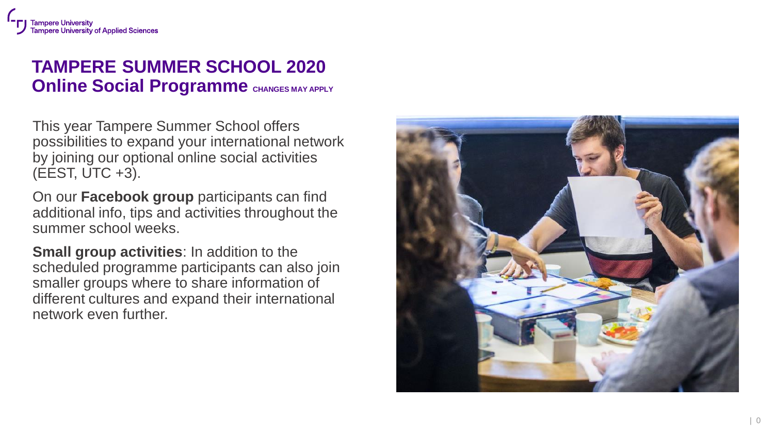## **TAMPERE SUMMER SCHOOL 2020 Online Social Programme** CHANGES MAY APPLY

This year Tampere Summer School offers possibilities to expand your international network by joining our optional online social activities (EEST, UTC + 3).

On our **Facebook group** participants can find additional info, tips and activities throughout the summer school weeks.

**Small group activities**: In addition to the scheduled programme participants can also join smaller groups where to share information of different cultures and expand their international network even further.

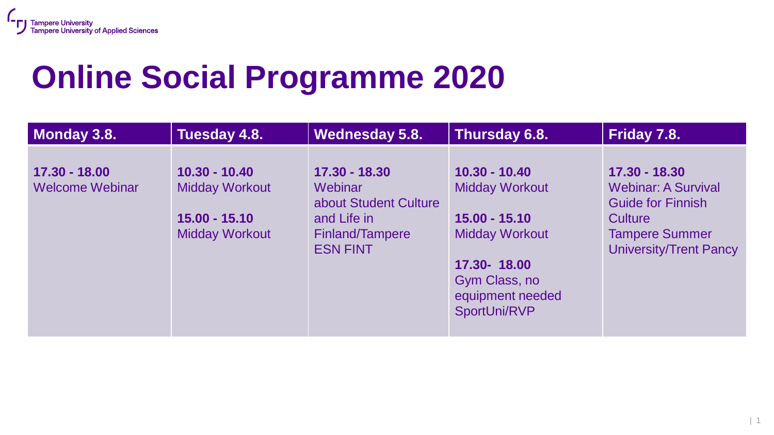# **Online Social Programme 2020**

| Monday 3.8.                             | Tuesday 4.8.                                                                         | <b>Wednesday 5.8.</b>                                                                                         | Thursday 6.8.                                                                                                                                            | Friday 7.8.                                                                                                                                  |
|-----------------------------------------|--------------------------------------------------------------------------------------|---------------------------------------------------------------------------------------------------------------|----------------------------------------------------------------------------------------------------------------------------------------------------------|----------------------------------------------------------------------------------------------------------------------------------------------|
| 17.30 - 18.00<br><b>Welcome Webinar</b> | $10.30 - 10.40$<br><b>Midday Workout</b><br>$15.00 - 15.10$<br><b>Midday Workout</b> | 17.30 - 18.30<br>Webinar<br>about Student Culture<br>and Life in<br><b>Finland/Tampere</b><br><b>ESN FINT</b> | $10.30 - 10.40$<br><b>Midday Workout</b><br>$15.00 - 15.10$<br><b>Midday Workout</b><br>17.30-18.00<br>Gym Class, no<br>equipment needed<br>SportUni/RVP | 17.30 - 18.30<br><b>Webinar: A Survival</b><br><b>Guide for Finnish</b><br>Culture<br><b>Tampere Summer</b><br><b>University/Trent Pancy</b> |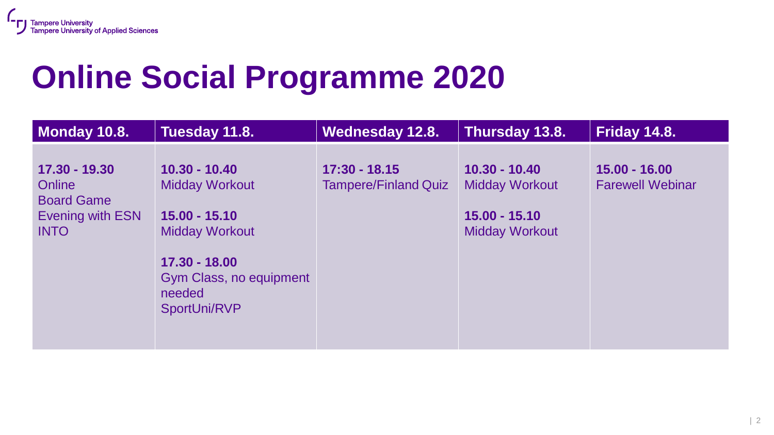## **Online Social Programme 2020**

| Monday 10.8.                                                                                  | Tuesday 11.8.                                                                                                                                              | <b>Wednesday 12.8.</b>                         | Thursday 13.8.                                                                       | <b>Friday 14.8.</b>                        |
|-----------------------------------------------------------------------------------------------|------------------------------------------------------------------------------------------------------------------------------------------------------------|------------------------------------------------|--------------------------------------------------------------------------------------|--------------------------------------------|
| 17.30 - 19.30<br><b>Online</b><br><b>Board Game</b><br><b>Evening with ESN</b><br><b>INTO</b> | $10.30 - 10.40$<br><b>Midday Workout</b><br>$15.00 - 15.10$<br><b>Midday Workout</b><br>17.30 - 18.00<br>Gym Class, no equipment<br>needed<br>SportUni/RVP | $17:30 - 18.15$<br><b>Tampere/Finland Quiz</b> | $10.30 - 10.40$<br><b>Midday Workout</b><br>$15.00 - 15.10$<br><b>Midday Workout</b> | $15.00 - 16.00$<br><b>Farewell Webinar</b> |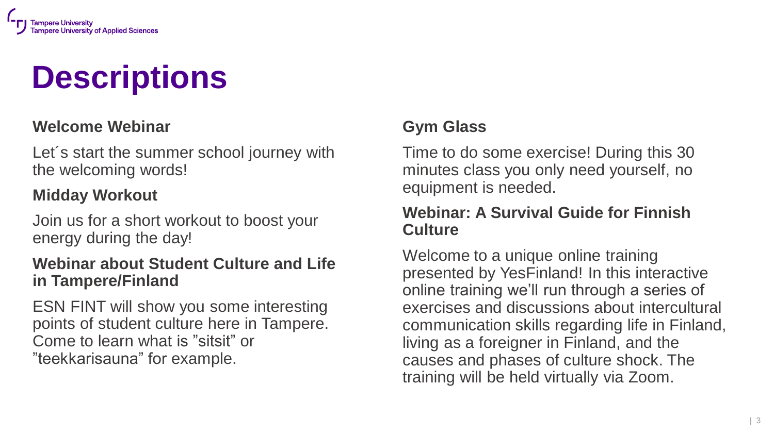

# **Descriptions**

## **Welcome Webinar**

Let´s start the summer school journey with the welcoming words!

## **Midday Workout**

Join us for a short workout to boost your energy during the day!

## **Webinar about Student Culture and Life in Tampere/Finland**

ESN FINT will show you some interesting points of student culture here in Tampere. Come to learn what is "sitsit" or "teekkarisauna" for example.

## **Gym Glass**

Time to do some exercise! During this 30 minutes class you only need yourself, no equipment is needed.

## **Webinar: A Survival Guide for Finnish Culture**

Welcome to a unique online training presented by YesFinland! In this interactive online training we'll run through a series of exercises and discussions about intercultural communication skills regarding life in Finland, living as a foreigner in Finland, and the causes and phases of culture shock. The training will be held virtually via Zoom.